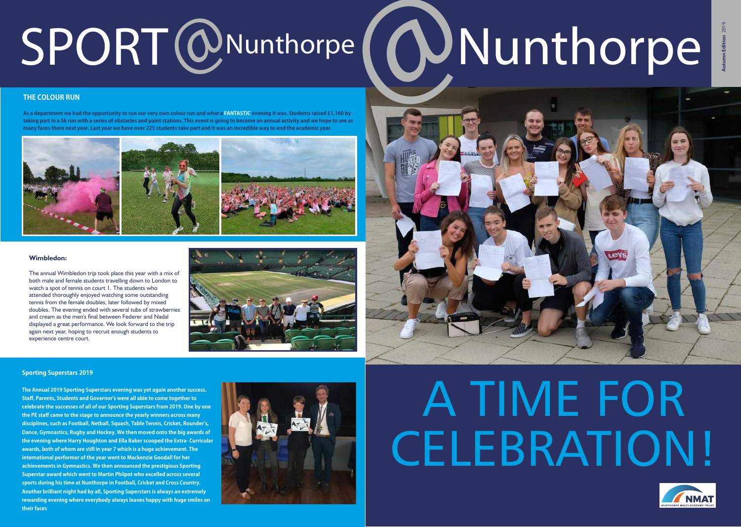# SPORT @Nunthorpe **( @Nunthorpe**

#### **THE COLOUR RUN**

As a department we had the opportunity to run our very own colour run and what a FANTASTIC evening it was. Students raised £1,160 by **takingpartina5krunwithaseriesofobstaclesandpaintstations.Thiseventisgoingtobecomeanannualactivityandwehopetoseeas** many faces there next year. Last year we have over 225 students take part and it was an incredible way to end the academic year.







## A TIME FOR CELEBRATION!



The annual Wimbledon trip took place this year with a mix of both male and female students travelling down to London to watch a spot of tennis on court 1. The students who attended thoroughly enjoyed watching some outstanding tennis from the female doubles, later followed by mixed doubles. The evening ended with several tubs of strawberries and cream as the men's final between Federer and Nadal displayed a great performance. We look forward to the trip again next year, hoping to recruit enough students to experience centre court.





#### **Sporting Superstars 2019**

**The Annual 2019 Sporting Superstars evening was yet again another success. Staff, Parents, Students and Governor's were all able to come together to** celebrate the successes of all of our Sporting Superstars from 2019. One by one the PE staff came to the stage to announce the yearly winners across many **disciplines,suchasFootball,Netball,Squash,TableTennis,Cricket,Rounder's, Dance, Gymnastics, Rugby and Hockey. We then moved onto the big awards of** the evening where Harry Houghton and Ella Baker scooped the Extra-Curricular awards, both of whom are still in year 7 which is a huge achievement. The international performer of the year went to Mackenzie Goodall for her achievements in Gymnastics. We then announced the prestigious Sporting **Superstar award which went to Martin Philpot who excelled across several** sports during his time at Nunthorpe in Football, Cricket and Cross Country. **Another brilliant night had by all, Sporting Superstars is always an extremely rewardingeveningwhereeverybodyalwaysleaveshappywithhugesmileson their faces** 



#### **Wimbledon:**